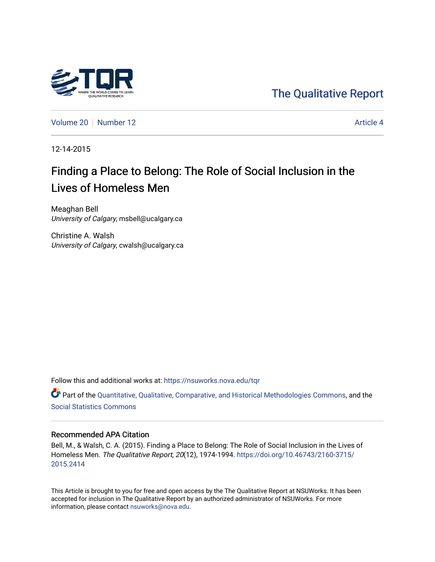

[The Qualitative Report](https://nsuworks.nova.edu/tqr) 

[Volume 20](https://nsuworks.nova.edu/tqr/vol20) [Number 12](https://nsuworks.nova.edu/tqr/vol20/iss12) Article 4

12-14-2015

# Finding a Place to Belong: The Role of Social Inclusion in the Lives of Homeless Men

Meaghan Bell University of Calgary, msbell@ucalgary.ca

Christine A. Walsh University of Calgary, cwalsh@ucalgary.ca

Follow this and additional works at: [https://nsuworks.nova.edu/tqr](https://nsuworks.nova.edu/tqr?utm_source=nsuworks.nova.edu%2Ftqr%2Fvol20%2Fiss12%2F4&utm_medium=PDF&utm_campaign=PDFCoverPages) 

Part of the [Quantitative, Qualitative, Comparative, and Historical Methodologies Commons,](http://network.bepress.com/hgg/discipline/423?utm_source=nsuworks.nova.edu%2Ftqr%2Fvol20%2Fiss12%2F4&utm_medium=PDF&utm_campaign=PDFCoverPages) and the [Social Statistics Commons](http://network.bepress.com/hgg/discipline/1275?utm_source=nsuworks.nova.edu%2Ftqr%2Fvol20%2Fiss12%2F4&utm_medium=PDF&utm_campaign=PDFCoverPages) 

#### Recommended APA Citation

Bell, M., & Walsh, C. A. (2015). Finding a Place to Belong: The Role of Social Inclusion in the Lives of Homeless Men. The Qualitative Report, 20(12), 1974-1994. [https://doi.org/10.46743/2160-3715/](https://doi.org/10.46743/2160-3715/2015.2414) [2015.2414](https://doi.org/10.46743/2160-3715/2015.2414) 

This Article is brought to you for free and open access by the The Qualitative Report at NSUWorks. It has been accepted for inclusion in The Qualitative Report by an authorized administrator of NSUWorks. For more information, please contact [nsuworks@nova.edu.](mailto:nsuworks@nova.edu)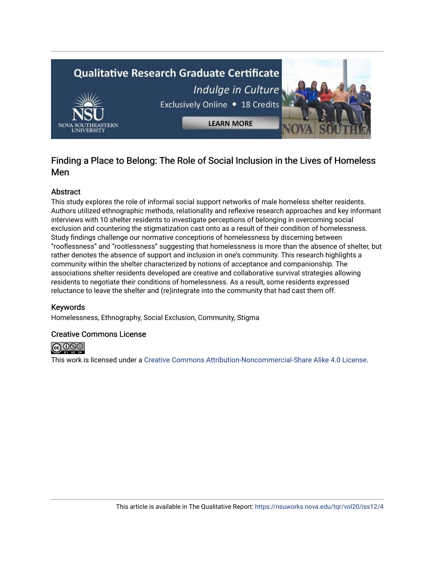

# Finding a Place to Belong: The Role of Social Inclusion in the Lives of Homeless Men

# Abstract

This study explores the role of informal social support networks of male homeless shelter residents. Authors utilized ethnographic methods, relationality and reflexive research approaches and key informant interviews with 10 shelter residents to investigate perceptions of belonging in overcoming social exclusion and countering the stigmatization cast onto as a result of their condition of homelessness. Study findings challenge our normative conceptions of homelessness by discerning between "rooflessness" and "rootlessness" suggesting that homelessness is more than the absence of shelter, but rather denotes the absence of support and inclusion in one's community. This research highlights a community within the shelter characterized by notions of acceptance and companionship. The associations shelter residents developed are creative and collaborative survival strategies allowing residents to negotiate their conditions of homelessness. As a result, some residents expressed reluctance to leave the shelter and (re)integrate into the community that had cast them off.

# Keywords

Homelessness, Ethnography, Social Exclusion, Community, Stigma

# Creative Commons License



This work is licensed under a [Creative Commons Attribution-Noncommercial-Share Alike 4.0 License](https://creativecommons.org/licenses/by-nc-sa/4.0/).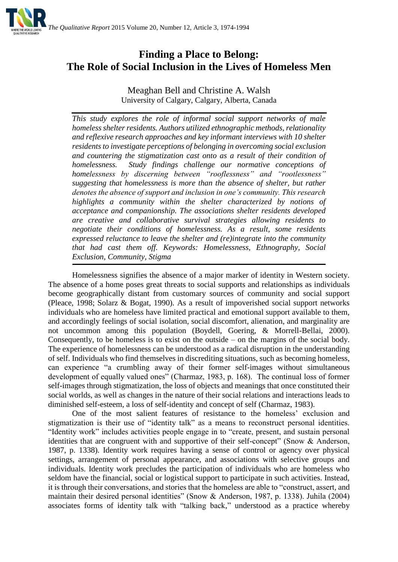

# **Finding a Place to Belong: The Role of Social Inclusion in the Lives of Homeless Men**

Meaghan Bell and Christine A. Walsh University of Calgary, Calgary, Alberta, Canada

*This study explores the role of informal social support networks of male homeless shelter residents. Authors utilized ethnographic methods, relationality and reflexive research approaches and key informant interviews with 10 shelter residents to investigate perceptions of belonging in overcoming social exclusion and countering the stigmatization cast onto as a result of their condition of homelessness. Study findings challenge our normative conceptions of homelessness by discerning between "rooflessness" and "rootlessness" suggesting that homelessness is more than the absence of shelter, but rather denotes the absence of support and inclusion in one's community. This research highlights a community within the shelter characterized by notions of acceptance and companionship. The associations shelter residents developed are creative and collaborative survival strategies allowing residents to negotiate their conditions of homelessness. As a result, some residents expressed reluctance to leave the shelter and (re)integrate into the community that had cast them off. Keywords: Homelessness, Ethnography, Social Exclusion, Community, Stigma*

Homelessness signifies the absence of a major marker of identity in Western society. The absence of a home poses great threats to social supports and relationships as individuals become geographically distant from customary sources of community and social support (Pleace, 1998; Solarz & Bogat, 1990). As a result of impoverished social support networks individuals who are homeless have limited practical and emotional support available to them, and accordingly feelings of social isolation, social discomfort, alienation, and marginality are not uncommon among this population (Boydell, Goering, & Morrell-Bellai, 2000). Consequently, to be homeless is to exist on the outside – on the margins of the social body. The experience of homelessness can be understood as a radical disruption in the understanding of self. Individuals who find themselves in discrediting situations, such as becoming homeless, can experience "a crumbling away of their former self-images without simultaneous development of equally valued ones" (Charmaz, 1983, p. 168). The continual loss of former self-images through stigmatization, the loss of objects and meanings that once constituted their social worlds, as well as changes in the nature of their social relations and interactions leads to diminished self-esteem, a loss of self-identity and concept of self (Charmaz, 1983).

One of the most salient features of resistance to the homeless' exclusion and stigmatization is their use of "identity talk" as a means to reconstruct personal identities. "Identity work" includes activities people engage in to "create, present, and sustain personal identities that are congruent with and supportive of their self-concept" (Snow & Anderson, 1987, p. 1338). Identity work requires having a sense of control or agency over physical settings, arrangement of personal appearance, and associations with selective groups and individuals. Identity work precludes the participation of individuals who are homeless who seldom have the financial, social or logistical support to participate in such activities. Instead, it is through their conversations, and stories that the homeless are able to "construct, assert, and maintain their desired personal identities" (Snow & Anderson, 1987, p. 1338). Juhila (2004) associates forms of identity talk with "talking back," understood as a practice whereby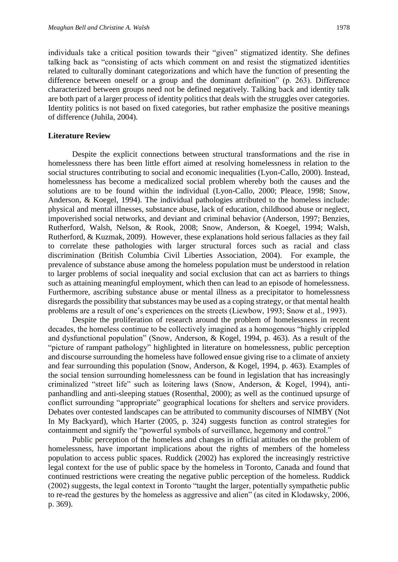individuals take a critical position towards their "given" stigmatized identity. She defines talking back as "consisting of acts which comment on and resist the stigmatized identities related to culturally dominant categorizations and which have the function of presenting the difference between oneself or a group and the dominant definition" (p. 263). Difference characterized between groups need not be defined negatively. Talking back and identity talk are both part of a larger process of identity politics that deals with the struggles over categories. Identity politics is not based on fixed categories, but rather emphasize the positive meanings of difference (Juhila, 2004).

# **Literature Review**

Despite the explicit connections between structural transformations and the rise in homelessness there has been little effort aimed at resolving homelessness in relation to the social structures contributing to social and economic inequalities (Lyon-Callo, 2000). Instead, homelessness has become a medicalized social problem whereby both the causes and the solutions are to be found within the individual (Lyon-Callo, 2000; Pleace, 1998; Snow, Anderson, & Koegel, 1994). The individual pathologies attributed to the homeless include: physical and mental illnesses, substance abuse, lack of education, childhood abuse or neglect, impoverished social networks, and deviant and criminal behavior (Anderson, 1997; Benzies, Rutherford, Walsh, Nelson, & Rook, 2008; Snow, Anderson, & Koegel, 1994; Walsh, Rutherford, & Kuzmak, 2009). However, these explanations hold serious fallacies as they fail to correlate these pathologies with larger structural forces such as racial and class discrimination (British Columbia Civil Liberties Association, 2004). For example, the prevalence of substance abuse among the homeless population must be understood in relation to larger problems of social inequality and social exclusion that can act as barriers to things such as attaining meaningful employment, which then can lead to an episode of homelessness. Furthermore, ascribing substance abuse or mental illness as a precipitator to homelessness disregards the possibility that substances may be used as a coping strategy, or that mental health problems are a result of one's experiences on the streets (Liewbow, 1993; Snow et al., 1993).

Despite the proliferation of research around the problem of homelessness in recent decades, the homeless continue to be collectively imagined as a homogenous "highly crippled and dysfunctional population" (Snow, Anderson, & Kogel, 1994, p. 463). As a result of the "picture of rampant pathology" highlighted in literature on homelessness, public perception and discourse surrounding the homeless have followed ensue giving rise to a climate of anxiety and fear surrounding this population (Snow, Anderson, & Kogel, 1994, p. 463). Examples of the social tension surrounding homelessness can be found in legislation that has increasingly criminalized "street life" such as loitering laws (Snow, Anderson, & Kogel, 1994), antipanhandling and anti-sleeping statues (Rosenthal, 2000); as well as the continued upsurge of conflict surrounding "appropriate" geographical locations for shelters and service providers. Debates over contested landscapes can be attributed to community discourses of NIMBY (Not In My Backyard), which Harter (2005, p. 324) suggests function as control strategies for containment and signify the "powerful symbols of surveillance, hegemony and control."

Public perception of the homeless and changes in official attitudes on the problem of homelessness, have important implications about the rights of members of the homeless population to access public spaces. Ruddick (2002) has explored the increasingly restrictive legal context for the use of public space by the homeless in Toronto, Canada and found that continued restrictions were creating the negative public perception of the homeless. Ruddick (2002) suggests, the legal context in Toronto "taught the larger, potentially sympathetic public to re-read the gestures by the homeless as aggressive and alien" (as cited in Klodawsky, 2006, p. 369).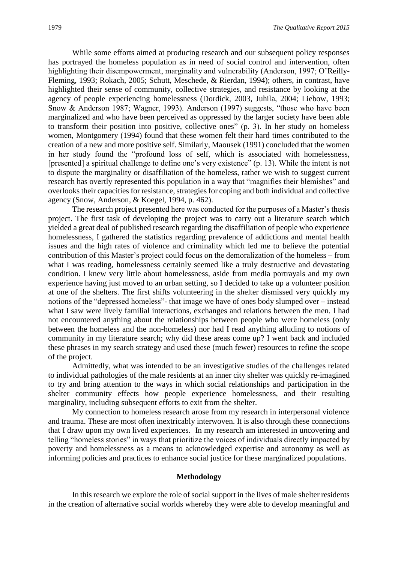While some efforts aimed at producing research and our subsequent policy responses has portrayed the homeless population as in need of social control and intervention, often highlighting their disempowerment, marginality and vulnerability (Anderson, 1997; O'Reilly-Fleming, 1993; Rokach, 2005; Schutt, Meschede, & Rierdan, 1994); others, in contrast, have highlighted their sense of community, collective strategies, and resistance by looking at the agency of people experiencing homelessness (Dordick, 2003, Juhila, 2004; Liebow, 1993; Snow & Anderson 1987; Wagner, 1993). Anderson (1997) suggests, "those who have been marginalized and who have been perceived as oppressed by the larger society have been able to transform their position into positive, collective ones" (p. 3). In her study on homeless women, Montgomery (1994) found that these women felt their hard times contributed to the creation of a new and more positive self. Similarly, Maousek (1991) concluded that the women in her study found the "profound loss of self, which is associated with homelessness, [presented] a spiritual challenge to define one's very existence" (p. 13). While the intent is not to dispute the marginality or disaffiliation of the homeless, rather we wish to suggest current research has overtly represented this population in a way that "magnifies their blemishes" and overlooks their capacities for resistance, strategies for coping and both individual and collective agency (Snow, Anderson, & Koegel, 1994, p. 462).

The research project presented here was conducted for the purposes of a Master's thesis project. The first task of developing the project was to carry out a literature search which yielded a great deal of published research regarding the disaffiliation of people who experience homelessness, I gathered the statistics regarding prevalence of addictions and mental health issues and the high rates of violence and criminality which led me to believe the potential contribution of this Master's project could focus on the demoralization of the homeless – from what I was reading, homelessness certainly seemed like a truly destructive and devastating condition. I knew very little about homelessness, aside from media portrayals and my own experience having just moved to an urban setting, so I decided to take up a volunteer position at one of the shelters. The first shifts volunteering in the shelter dismissed very quickly my notions of the "depressed homeless"- that image we have of ones body slumped over – instead what I saw were lively familial interactions, exchanges and relations between the men. I had not encountered anything about the relationships between people who were homeless (only between the homeless and the non-homeless) nor had I read anything alluding to notions of community in my literature search; why did these areas come up? I went back and included these phrases in my search strategy and used these (much fewer) resources to refine the scope of the project.

Admittedly, what was intended to be an investigative studies of the challenges related to individual pathologies of the male residents at an inner city shelter was quickly re-imagined to try and bring attention to the ways in which social relationships and participation in the shelter community effects how people experience homelessness, and their resulting marginality, including subsequent efforts to exit from the shelter.

My connection to homeless research arose from my research in interpersonal violence and trauma. These are most often inextricably interwoven. It is also through these connections that I draw upon my own lived experiences. In my research am interested in uncovering and telling "homeless stories" in ways that prioritize the voices of individuals directly impacted by poverty and homelessness as a means to acknowledged expertise and autonomy as well as informing policies and practices to enhance social justice for these marginalized populations.

### **Methodology**

In this research we explore the role of social support in the lives of male shelter residents in the creation of alternative social worlds whereby they were able to develop meaningful and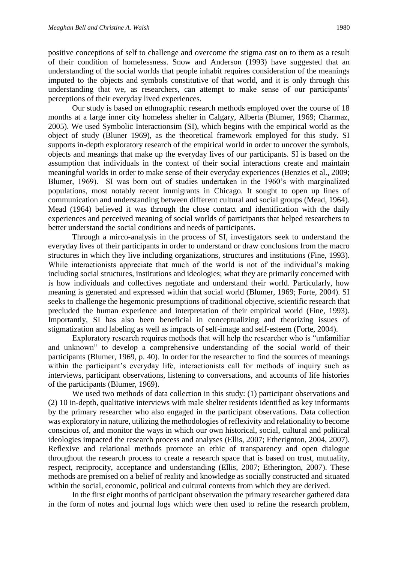positive conceptions of self to challenge and overcome the stigma cast on to them as a result of their condition of homelessness. Snow and Anderson (1993) have suggested that an understanding of the social worlds that people inhabit requires consideration of the meanings imputed to the objects and symbols constitutive of that world, and it is only through this understanding that we, as researchers, can attempt to make sense of our participants' perceptions of their everyday lived experiences.

Our study is based on ethnographic research methods employed over the course of 18 months at a large inner city homeless shelter in Calgary, Alberta (Blumer, 1969; Charmaz, 2005). We used Symbolic Interactionsim (SI), which begins with the empirical world as the object of study (Bluner 1969), as the theoretical framework employed for this study. SI supports in-depth exploratory research of the empirical world in order to uncover the symbols, objects and meanings that make up the everyday lives of our participants. SI is based on the assumption that individuals in the context of their social interactions create and maintain meaningful worlds in order to make sense of their everyday experiences (Benzies et al., 2009; Blumer, 1969). SI was born out of studies undertaken in the 1960's with marginalized populations, most notably recent immigrants in Chicago. It sought to open up lines of communication and understanding between different cultural and social groups (Mead, 1964). Mead (1964) believed it was through the close contact and identification with the daily experiences and perceived meaning of social worlds of participants that helped researchers to better understand the social conditions and needs of participants.

Through a mirco-analysis in the process of SI, investigators seek to understand the everyday lives of their participants in order to understand or draw conclusions from the macro structures in which they live including organizations, structures and institutions (Fine, 1993). While interactionists appreciate that much of the world is not of the individual's making including social structures, institutions and ideologies; what they are primarily concerned with is how individuals and collectives negotiate and understand their world. Particularly, how meaning is generated and expressed within that social world (Blumer, 1969; Forte, 2004). SI seeks to challenge the hegemonic presumptions of traditional objective, scientific research that precluded the human experience and interpretation of their empirical world (Fine, 1993). Importantly, SI has also been beneficial in conceptualizing and theorizing issues of stigmatization and labeling as well as impacts of self-image and self-esteem (Forte, 2004).

Exploratory research requires methods that will help the researcher who is "unfamiliar and unknown" to develop a comprehensive understanding of the social world of their participants (Blumer, 1969, p. 40). In order for the researcher to find the sources of meanings within the participant's everyday life, interactionists call for methods of inquiry such as interviews, participant observations, listening to conversations, and accounts of life histories of the participants (Blumer, 1969).

We used two methods of data collection in this study: (1) participant observations and (2) 10 in-depth, qualitative interviews with male shelter residents identified as key informants by the primary researcher who also engaged in the participant observations. Data collection was exploratory in nature, utilizing the methodologies of reflexivity and relationality to become conscious of, and monitor the ways in which our own historical, social, cultural and political ideologies impacted the research process and analyses (Ellis, 2007; Etherignton, 2004, 2007). Reflexive and relational methods promote an ethic of transparency and open dialogue throughout the research process to create a research space that is based on trust, mutuality, respect, reciprocity, acceptance and understanding (Ellis, 2007; Etherington, 2007). These methods are premised on a belief of reality and knowledge as socially constructed and situated within the social, economic, political and cultural contexts from which they are derived.

In the first eight months of participant observation the primary researcher gathered data in the form of notes and journal logs which were then used to refine the research problem,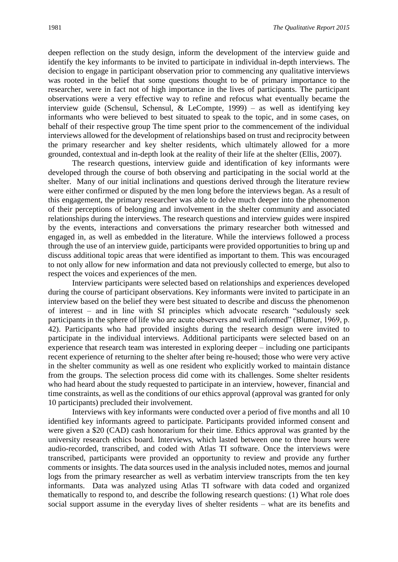deepen reflection on the study design, inform the development of the interview guide and identify the key informants to be invited to participate in individual in-depth interviews. The decision to engage in participant observation prior to commencing any qualitative interviews was rooted in the belief that some questions thought to be of primary importance to the researcher, were in fact not of high importance in the lives of participants. The participant observations were a very effective way to refine and refocus what eventually became the interview guide (Schensul, Schensul, & LeCompte, 1999) – as well as identifying key informants who were believed to best situated to speak to the topic, and in some cases, on behalf of their respective group The time spent prior to the commencement of the individual interviews allowed for the development of relationships based on trust and reciprocity between the primary researcher and key shelter residents, which ultimately allowed for a more grounded, contextual and in-depth look at the reality of their life at the shelter (Ellis, 2007).

The research questions, interview guide and identification of key informants were developed through the course of both observing and participating in the social world at the shelter. Many of our initial inclinations and questions derived through the literature review were either confirmed or disputed by the men long before the interviews began. As a result of this engagement, the primary researcher was able to delve much deeper into the phenomenon of their perceptions of belonging and involvement in the shelter community and associated relationships during the interviews. The research questions and interview guides were inspired by the events, interactions and conversations the primary researcher both witnessed and engaged in, as well as embedded in the literature. While the interviews followed a process through the use of an interview guide, participants were provided opportunities to bring up and discuss additional topic areas that were identified as important to them. This was encouraged to not only allow for new information and data not previously collected to emerge, but also to respect the voices and experiences of the men.

Interview participants were selected based on relationships and experiences developed during the course of participant observations. Key informants were invited to participate in an interview based on the belief they were best situated to describe and discuss the phenomenon of interest – and in line with SI principles which advocate research "sedulously seek participants in the sphere of life who are acute observers and well informed" (Blumer, 1969, p. 42). Participants who had provided insights during the research design were invited to participate in the individual interviews. Additional participants were selected based on an experience that research team was interested in exploring deeper – including one participants recent experience of returning to the shelter after being re-housed; those who were very active in the shelter community as well as one resident who explicitly worked to maintain distance from the groups. The selection process did come with its challenges. Some shelter residents who had heard about the study requested to participate in an interview, however, financial and time constraints, as well as the conditions of our ethics approval (approval was granted for only 10 participants) precluded their involvement.

Interviews with key informants were conducted over a period of five months and all 10 identified key informants agreed to participate. Participants provided informed consent and were given a \$20 (CAD) cash honorarium for their time. Ethics approval was granted by the university research ethics board. Interviews, which lasted between one to three hours were audio-recorded, transcribed, and coded with Atlas TI software. Once the interviews were transcribed, participants were provided an opportunity to review and provide any further comments or insights. The data sources used in the analysis included notes, memos and journal logs from the primary researcher as well as verbatim interview transcripts from the ten key informants. Data was analyzed using Atlas TI software with data coded and organized thematically to respond to, and describe the following research questions: (1) What role does social support assume in the everyday lives of shelter residents – what are its benefits and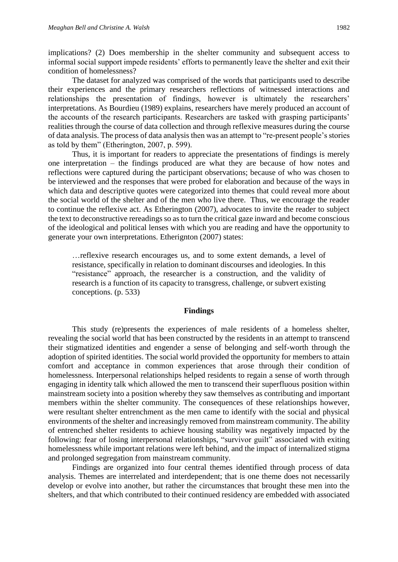implications? (2) Does membership in the shelter community and subsequent access to informal social support impede residents' efforts to permanently leave the shelter and exit their condition of homelessness?

The dataset for analyzed was comprised of the words that participants used to describe their experiences and the primary researchers reflections of witnessed interactions and relationships the presentation of findings, however is ultimately the researchers' interpretations. As Bourdieu (1989) explains, researchers have merely produced an account of the accounts of the research participants. Researchers are tasked with grasping participants' realities through the course of data collection and through reflexive measures during the course of data analysis. The process of data analysis then was an attempt to "re-present people's stories as told by them" (Etherington, 2007, p. 599).

Thus, it is important for readers to appreciate the presentations of findings is merely one interpretation – the findings produced are what they are because of how notes and reflections were captured during the participant observations; because of who was chosen to be interviewed and the responses that were probed for elaboration and because of the ways in which data and descriptive quotes were categorized into themes that could reveal more about the social world of the shelter and of the men who live there. Thus, we encourage the reader to continue the reflexive act. As Etherington (2007), advocates to invite the reader to subject the text to deconstructive rereadings so as to turn the critical gaze inward and become conscious of the ideological and political lenses with which you are reading and have the opportunity to generate your own interpretations. Etherignton (2007) states:

…reflexive research encourages us, and to some extent demands, a level of resistance, specifically in relation to dominant discourses and ideologies. In this "resistance" approach, the researcher is a construction, and the validity of research is a function of its capacity to transgress, challenge, or subvert existing conceptions. (p. 533)

#### **Findings**

This study (re)presents the experiences of male residents of a homeless shelter, revealing the social world that has been constructed by the residents in an attempt to transcend their stigmatized identities and engender a sense of belonging and self-worth through the adoption of spirited identities. The social world provided the opportunity for members to attain comfort and acceptance in common experiences that arose through their condition of homelessness. Interpersonal relationships helped residents to regain a sense of worth through engaging in identity talk which allowed the men to transcend their superfluous position within mainstream society into a position whereby they saw themselves as contributing and important members within the shelter community. The consequences of these relationships however, were resultant shelter entrenchment as the men came to identify with the social and physical environments of the shelter and increasingly removed from mainstream community. The ability of entrenched shelter residents to achieve housing stability was negatively impacted by the following: fear of losing interpersonal relationships, "survivor guilt" associated with exiting homelessness while important relations were left behind, and the impact of internalized stigma and prolonged segregation from mainstream community.

Findings are organized into four central themes identified through process of data analysis. Themes are interrelated and interdependent; that is one theme does not necessarily develop or evolve into another, but rather the circumstances that brought these men into the shelters, and that which contributed to their continued residency are embedded with associated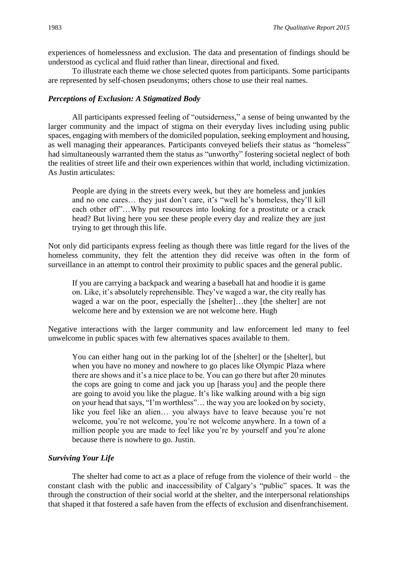experiences of homelessness and exclusion. The data and presentation of findings should be understood as cyclical and fluid rather than linear, directional and fixed.

To illustrate each theme we chose selected quotes from participants. Some participants are represented by self-chosen pseudonyms; others chose to use their real names.

#### *Perceptions of Exclusion: A Stigmatized Body*

All participants expressed feeling of "outsiderness," a sense of being unwanted by the larger community and the impact of stigma on their everyday lives including using public spaces, engaging with members of the domiciled population, seeking employment and housing, as well managing their appearances. Participants conveyed beliefs their status as "homeless" had simultaneously warranted them the status as "unworthy" fostering societal neglect of both the realities of street life and their own experiences within that world, including victimization. As Justin articulates:

People are dying in the streets every week, but they are homeless and junkies and no one cares… they just don't care, it's "well he's homeless, they'll kill each other off"…Why put resources into looking for a prostitute or a crack head? But living here you see these people every day and realize they are just trying to get through this life.

Not only did participants express feeling as though there was little regard for the lives of the homeless community, they felt the attention they did receive was often in the form of surveillance in an attempt to control their proximity to public spaces and the general public.

If you are carrying a backpack and wearing a baseball hat and hoodie it is game on. Like, it's absolutely reprehensible. They've waged a war, the city really has waged a war on the poor, especially the [shelter]...they [the shelter] are not welcome here and by extension we are not welcome here. Hugh

Negative interactions with the larger community and law enforcement led many to feel unwelcome in public spaces with few alternatives spaces available to them.

You can either hang out in the parking lot of the [shelter] or the [shelter], but when you have no money and nowhere to go places like Olympic Plaza where there are shows and it's a nice place to be. You can go there but after 20 minutes the cops are going to come and jack you up [harass you] and the people there are going to avoid you like the plague. It's like walking around with a big sign on your head that says, "I'm worthless"… the way you are looked on by society, like you feel like an alien… you always have to leave because you're not welcome, you're not welcome, you're not welcome anywhere. In a town of a million people you are made to feel like you're by yourself and you're alone because there is nowhere to go. Justin.

# *Surviving Your Life*

The shelter had come to act as a place of refuge from the violence of their world – the constant clash with the public and inaccessibility of Calgary's "public" spaces. It was the through the construction of their social world at the shelter, and the interpersonal relationships that shaped it that fostered a safe haven from the effects of exclusion and disenfranchisement.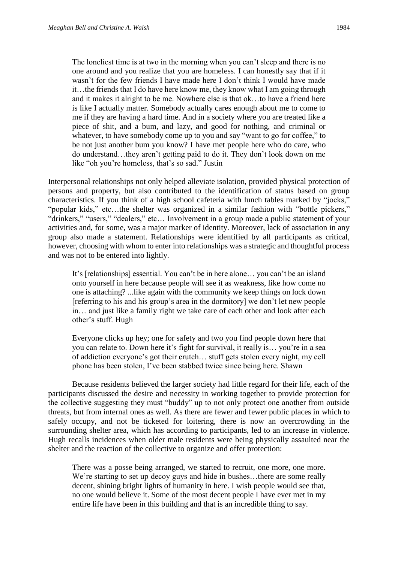The loneliest time is at two in the morning when you can't sleep and there is no one around and you realize that you are homeless. I can honestly say that if it wasn't for the few friends I have made here I don't think I would have made it…the friends that I do have here know me, they know what I am going through and it makes it alright to be me. Nowhere else is that ok…to have a friend here is like I actually matter. Somebody actually cares enough about me to come to me if they are having a hard time. And in a society where you are treated like a piece of shit, and a bum, and lazy, and good for nothing, and criminal or whatever, to have somebody come up to you and say "want to go for coffee," to be not just another bum you know? I have met people here who do care, who do understand…they aren't getting paid to do it. They don't look down on me like "oh you're homeless, that's so sad." Justin

Interpersonal relationships not only helped alleviate isolation, provided physical protection of persons and property, but also contributed to the identification of status based on group characteristics. If you think of a high school cafeteria with lunch tables marked by "jocks," "popular kids," etc…the shelter was organized in a similar fashion with "bottle pickers," "drinkers," "users," "dealers," etc… Involvement in a group made a public statement of your activities and, for some, was a major marker of identity. Moreover, lack of association in any group also made a statement. Relationships were identified by all participants as critical, however, choosing with whom to enter into relationships was a strategic and thoughtful process and was not to be entered into lightly.

It's [relationships] essential. You can't be in here alone… you can't be an island onto yourself in here because people will see it as weakness, like how come no one is attaching? ...like again with the community we keep things on lock down [referring to his and his group's area in the dormitory] we don't let new people in… and just like a family right we take care of each other and look after each other's stuff. Hugh

Everyone clicks up hey; one for safety and two you find people down here that you can relate to. Down here it's fight for survival, it really is… you're in a sea of addiction everyone's got their crutch… stuff gets stolen every night, my cell phone has been stolen, I've been stabbed twice since being here. Shawn

Because residents believed the larger society had little regard for their life, each of the participants discussed the desire and necessity in working together to provide protection for the collective suggesting they must "buddy" up to not only protect one another from outside threats, but from internal ones as well. As there are fewer and fewer public places in which to safely occupy, and not be ticketed for loitering, there is now an overcrowding in the surrounding shelter area, which has according to participants, led to an increase in violence. Hugh recalls incidences when older male residents were being physically assaulted near the shelter and the reaction of the collective to organize and offer protection:

There was a posse being arranged, we started to recruit, one more, one more. We're starting to set up decoy guys and hide in bushes...there are some really decent, shining bright lights of humanity in here. I wish people would see that, no one would believe it. Some of the most decent people I have ever met in my entire life have been in this building and that is an incredible thing to say.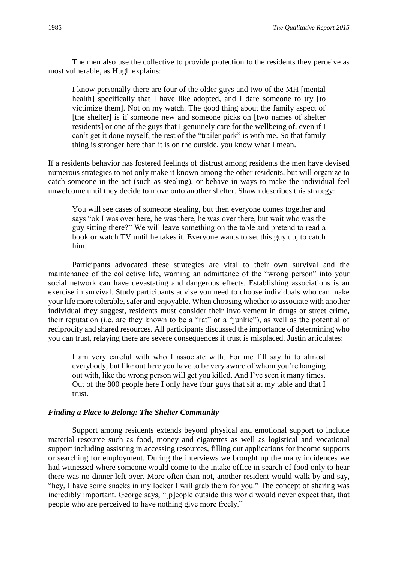The men also use the collective to provide protection to the residents they perceive as most vulnerable, as Hugh explains:

I know personally there are four of the older guys and two of the MH [mental health] specifically that I have like adopted, and I dare someone to try [to victimize them]. Not on my watch. The good thing about the family aspect of [the shelter] is if someone new and someone picks on [two names of shelter residents] or one of the guys that I genuinely care for the wellbeing of, even if I can't get it done myself, the rest of the "trailer park" is with me. So that family thing is stronger here than it is on the outside, you know what I mean.

If a residents behavior has fostered feelings of distrust among residents the men have devised numerous strategies to not only make it known among the other residents, but will organize to catch someone in the act (such as stealing), or behave in ways to make the individual feel unwelcome until they decide to move onto another shelter. Shawn describes this strategy:

You will see cases of someone stealing, but then everyone comes together and says "ok I was over here, he was there, he was over there, but wait who was the guy sitting there?" We will leave something on the table and pretend to read a book or watch TV until he takes it. Everyone wants to set this guy up, to catch him.

Participants advocated these strategies are vital to their own survival and the maintenance of the collective life, warning an admittance of the "wrong person" into your social network can have devastating and dangerous effects. Establishing associations is an exercise in survival. Study participants advise you need to choose individuals who can make your life more tolerable, safer and enjoyable. When choosing whether to associate with another individual they suggest, residents must consider their involvement in drugs or street crime, their reputation (i.e. are they known to be a "rat" or a "junkie"), as well as the potential of reciprocity and shared resources. All participants discussed the importance of determining who you can trust, relaying there are severe consequences if trust is misplaced. Justin articulates:

I am very careful with who I associate with. For me I'll say hi to almost everybody, but like out here you have to be very aware of whom you're hanging out with, like the wrong person will get you killed. And I've seen it many times. Out of the 800 people here I only have four guys that sit at my table and that I trust.

# *Finding a Place to Belong: The Shelter Community*

Support among residents extends beyond physical and emotional support to include material resource such as food, money and cigarettes as well as logistical and vocational support including assisting in accessing resources, filling out applications for income supports or searching for employment. During the interviews we brought up the many incidences we had witnessed where someone would come to the intake office in search of food only to hear there was no dinner left over. More often than not, another resident would walk by and say, "hey, I have some snacks in my locker I will grab them for you." The concept of sharing was incredibly important. George says, "[p]eople outside this world would never expect that, that people who are perceived to have nothing give more freely."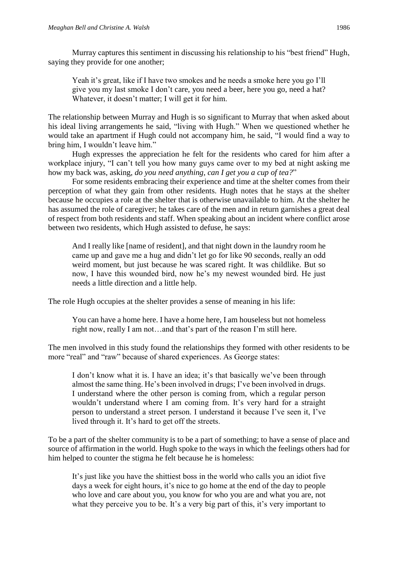Murray captures this sentiment in discussing his relationship to his "best friend" Hugh, saying they provide for one another;

Yeah it's great, like if I have two smokes and he needs a smoke here you go I'll give you my last smoke I don't care, you need a beer, here you go, need a hat? Whatever, it doesn't matter; I will get it for him.

The relationship between Murray and Hugh is so significant to Murray that when asked about his ideal living arrangements he said, "living with Hugh." When we questioned whether he would take an apartment if Hugh could not accompany him, he said, "I would find a way to bring him, I wouldn't leave him."

Hugh expresses the appreciation he felt for the residents who cared for him after a workplace injury, "I can't tell you how many guys came over to my bed at night asking me how my back was, asking, *do you need anything, can I get you a cup of tea?*"

For some residents embracing their experience and time at the shelter comes from their perception of what they gain from other residents. Hugh notes that he stays at the shelter because he occupies a role at the shelter that is otherwise unavailable to him. At the shelter he has assumed the role of caregiver; he takes care of the men and in return garnishes a great deal of respect from both residents and staff. When speaking about an incident where conflict arose between two residents, which Hugh assisted to defuse, he says:

And I really like [name of resident], and that night down in the laundry room he came up and gave me a hug and didn't let go for like 90 seconds, really an odd weird moment, but just because he was scared right. It was childlike. But so now, I have this wounded bird, now he's my newest wounded bird. He just needs a little direction and a little help.

The role Hugh occupies at the shelter provides a sense of meaning in his life:

You can have a home here. I have a home here, I am houseless but not homeless right now, really I am not…and that's part of the reason I'm still here.

The men involved in this study found the relationships they formed with other residents to be more "real" and "raw" because of shared experiences. As George states:

I don't know what it is. I have an idea; it's that basically we've been through almost the same thing. He's been involved in drugs; I've been involved in drugs. I understand where the other person is coming from, which a regular person wouldn't understand where I am coming from. It's very hard for a straight person to understand a street person. I understand it because I've seen it, I've lived through it. It's hard to get off the streets.

To be a part of the shelter community is to be a part of something; to have a sense of place and source of affirmation in the world. Hugh spoke to the ways in which the feelings others had for him helped to counter the stigma he felt because he is homeless:

It's just like you have the shittiest boss in the world who calls you an idiot five days a week for eight hours, it's nice to go home at the end of the day to people who love and care about you, you know for who you are and what you are, not what they perceive you to be. It's a very big part of this, it's very important to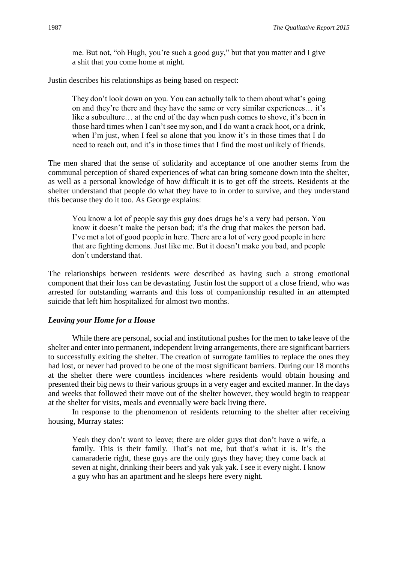me. But not, "oh Hugh, you're such a good guy," but that you matter and I give a shit that you come home at night.

Justin describes his relationships as being based on respect:

They don't look down on you. You can actually talk to them about what's going on and they're there and they have the same or very similar experiences… it's like a subculture… at the end of the day when push comes to shove, it's been in those hard times when I can't see my son, and I do want a crack hoot, or a drink, when I'm just, when I feel so alone that you know it's in those times that I do need to reach out, and it's in those times that I find the most unlikely of friends.

The men shared that the sense of solidarity and acceptance of one another stems from the communal perception of shared experiences of what can bring someone down into the shelter, as well as a personal knowledge of how difficult it is to get off the streets. Residents at the shelter understand that people do what they have to in order to survive, and they understand this because they do it too. As George explains:

You know a lot of people say this guy does drugs he's a very bad person. You know it doesn't make the person bad; it's the drug that makes the person bad. I've met a lot of good people in here. There are a lot of very good people in here that are fighting demons. Just like me. But it doesn't make you bad, and people don't understand that.

The relationships between residents were described as having such a strong emotional component that their loss can be devastating. Justin lost the support of a close friend, who was arrested for outstanding warrants and this loss of companionship resulted in an attempted suicide that left him hospitalized for almost two months.

#### *Leaving your Home for a House*

While there are personal, social and institutional pushes for the men to take leave of the shelter and enter into permanent, independent living arrangements, there are significant barriers to successfully exiting the shelter. The creation of surrogate families to replace the ones they had lost, or never had proved to be one of the most significant barriers. During our 18 months at the shelter there were countless incidences where residents would obtain housing and presented their big news to their various groups in a very eager and excited manner. In the days and weeks that followed their move out of the shelter however, they would begin to reappear at the shelter for visits, meals and eventually were back living there.

In response to the phenomenon of residents returning to the shelter after receiving housing, Murray states:

Yeah they don't want to leave; there are older guys that don't have a wife, a family. This is their family. That's not me, but that's what it is. It's the camaraderie right, these guys are the only guys they have; they come back at seven at night, drinking their beers and yak yak yak. I see it every night. I know a guy who has an apartment and he sleeps here every night.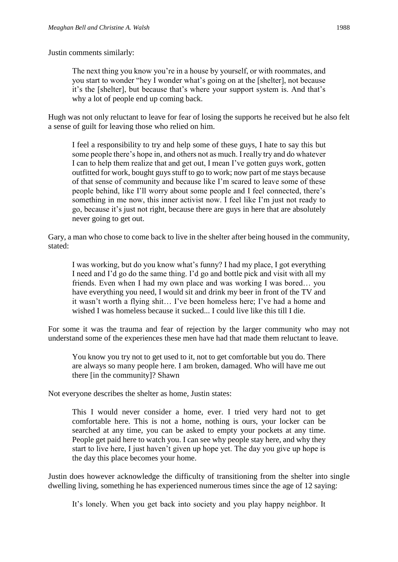Justin comments similarly:

The next thing you know you're in a house by yourself, or with roommates, and you start to wonder "hey I wonder what's going on at the [shelter], not because it's the [shelter], but because that's where your support system is. And that's why a lot of people end up coming back.

Hugh was not only reluctant to leave for fear of losing the supports he received but he also felt a sense of guilt for leaving those who relied on him.

I feel a responsibility to try and help some of these guys, I hate to say this but some people there's hope in, and others not as much. I really try and do whatever I can to help them realize that and get out, I mean I've gotten guys work, gotten outfitted for work, bought guys stuff to go to work; now part of me stays because of that sense of community and because like I'm scared to leave some of these people behind, like I'll worry about some people and I feel connected, there's something in me now, this inner activist now. I feel like I'm just not ready to go, because it's just not right, because there are guys in here that are absolutely never going to get out.

Gary, a man who chose to come back to live in the shelter after being housed in the community, stated:

I was working, but do you know what's funny? I had my place, I got everything I need and I'd go do the same thing. I'd go and bottle pick and visit with all my friends. Even when I had my own place and was working I was bored… you have everything you need, I would sit and drink my beer in front of the TV and it wasn't worth a flying shit… I've been homeless here; I've had a home and wished I was homeless because it sucked... I could live like this till I die.

For some it was the trauma and fear of rejection by the larger community who may not understand some of the experiences these men have had that made them reluctant to leave.

You know you try not to get used to it, not to get comfortable but you do. There are always so many people here. I am broken, damaged. Who will have me out there [in the community]? Shawn

Not everyone describes the shelter as home, Justin states:

This I would never consider a home, ever. I tried very hard not to get comfortable here. This is not a home, nothing is ours, your locker can be searched at any time, you can be asked to empty your pockets at any time. People get paid here to watch you. I can see why people stay here, and why they start to live here, I just haven't given up hope yet. The day you give up hope is the day this place becomes your home.

Justin does however acknowledge the difficulty of transitioning from the shelter into single dwelling living, something he has experienced numerous times since the age of 12 saying:

It's lonely. When you get back into society and you play happy neighbor. It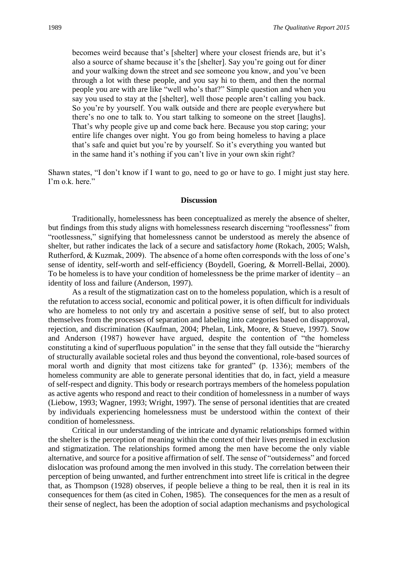becomes weird because that's [shelter] where your closest friends are, but it's also a source of shame because it's the [shelter]. Say you're going out for diner and your walking down the street and see someone you know, and you've been through a lot with these people, and you say hi to them, and then the normal people you are with are like "well who's that?" Simple question and when you say you used to stay at the [shelter], well those people aren't calling you back. So you're by yourself. You walk outside and there are people everywhere but there's no one to talk to. You start talking to someone on the street [laughs]. That's why people give up and come back here. Because you stop caring; your entire life changes over night. You go from being homeless to having a place that's safe and quiet but you're by yourself. So it's everything you wanted but in the same hand it's nothing if you can't live in your own skin right?

Shawn states, "I don't know if I want to go, need to go or have to go. I might just stay here. I'm o.k. here."

#### **Discussion**

Traditionally, homelessness has been conceptualized as merely the absence of shelter, but findings from this study aligns with homelessness research discerning "rooflessness" from "rootlessness," signifying that homelessness cannot be understood as merely the absence of shelter, but rather indicates the lack of a secure and satisfactory *home* (Rokach, 2005; Walsh, Rutherford, & Kuzmak, 2009). The absence of a home often corresponds with the loss of one's sense of identity, self-worth and self-efficiency (Boydell, Goering, & Morrell-Bellai, 2000). To be homeless is to have your condition of homelessness be the prime marker of identity – an identity of loss and failure (Anderson, 1997).

As a result of the stigmatization cast on to the homeless population, which is a result of the refutation to access social, economic and political power, it is often difficult for individuals who are homeless to not only try and ascertain a positive sense of self, but to also protect themselves from the processes of separation and labeling into categories based on disapproval, rejection, and discrimination (Kaufman, 2004; Phelan, Link, Moore, & Stueve, 1997). Snow and Anderson (1987) however have argued, despite the contention of "the homeless constituting a kind of superfluous population" in the sense that they fall outside the "hierarchy of structurally available societal roles and thus beyond the conventional, role-based sources of moral worth and dignity that most citizens take for granted" (p. 1336); members of the homeless community are able to generate personal identities that do, in fact, yield a measure of self-respect and dignity. This body or research portrays members of the homeless population as active agents who respond and react to their condition of homelessness in a number of ways (Liebow, 1993; Wagner, 1993; Wright, 1997). The sense of personal identities that are created by individuals experiencing homelessness must be understood within the context of their condition of homelessness.

Critical in our understanding of the intricate and dynamic relationships formed within the shelter is the perception of meaning within the context of their lives premised in exclusion and stigmatization. The relationships formed among the men have become the only viable alternative, and source for a positive affirmation of self. The sense of "outsiderness" and forced dislocation was profound among the men involved in this study. The correlation between their perception of being unwanted, and further entrenchment into street life is critical in the degree that, as Thompson (1928) observes, if people believe a thing to be real, then it is real in its consequences for them (as cited in Cohen, 1985). The consequences for the men as a result of their sense of neglect, has been the adoption of social adaption mechanisms and psychological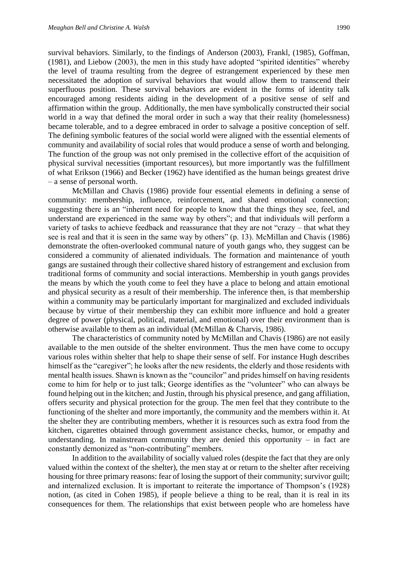survival behaviors. Similarly, to the findings of Anderson (2003), Frankl, (1985), Goffman, (1981), and Liebow (2003), the men in this study have adopted "spirited identities" whereby the level of trauma resulting from the degree of estrangement experienced by these men necessitated the adoption of survival behaviors that would allow them to transcend their superfluous position. These survival behaviors are evident in the forms of identity talk encouraged among residents aiding in the development of a positive sense of self and affirmation within the group. Additionally, the men have symbolically constructed their social world in a way that defined the moral order in such a way that their reality (homelessness) became tolerable, and to a degree embraced in order to salvage a positive conception of self. The defining symbolic features of the social world were aligned with the essential elements of community and availability of social roles that would produce a sense of worth and belonging. The function of the group was not only premised in the collective effort of the acquisition of physical survival necessities (important resources), but more importantly was the fulfillment of what Erikson (1966) and Becker (1962) have identified as the human beings greatest drive – a sense of personal worth.

McMillan and Chavis (1986) provide four essential elements in defining a sense of community: membership, influence, reinforcement, and shared emotional connection; suggesting there is an "inherent need for people to know that the things they see, feel, and understand are experienced in the same way by others"; and that individuals will perform a variety of tasks to achieve feedback and reassurance that they are not "crazy – that what they see is real and that it is seen in the same way by others" (p. 13). McMillan and Chavis (1986) demonstrate the often-overlooked communal nature of youth gangs who, they suggest can be considered a community of alienated individuals. The formation and maintenance of youth gangs are sustained through their collective shared history of estrangement and exclusion from traditional forms of community and social interactions. Membership in youth gangs provides the means by which the youth come to feel they have a place to belong and attain emotional and physical security as a result of their membership. The inference then, is that membership within a community may be particularly important for marginalized and excluded individuals because by virtue of their membership they can exhibit more influence and hold a greater degree of power (physical, political, material, and emotional) over their environment than is otherwise available to them as an individual (McMillan & Charvis, 1986).

The characteristics of community noted by McMillan and Chavis (1986) are not easily available to the men outside of the shelter environment. Thus the men have come to occupy various roles within shelter that help to shape their sense of self. For instance Hugh describes himself as the "caregiver"; he looks after the new residents, the elderly and those residents with mental health issues. Shawn is known as the "councilor" and prides himself on having residents come to him for help or to just talk; George identifies as the "volunteer" who can always be found helping out in the kitchen; and Justin, through his physical presence, and gang affiliation, offers security and physical protection for the group. The men feel that they contribute to the functioning of the shelter and more importantly, the community and the members within it. At the shelter they are contributing members, whether it is resources such as extra food from the kitchen, cigarettes obtained through government assistance checks, humor, or empathy and understanding. In mainstream community they are denied this opportunity  $-$  in fact are constantly demonized as "non-contributing" members.

In addition to the availability of socially valued roles (despite the fact that they are only valued within the context of the shelter), the men stay at or return to the shelter after receiving housing for three primary reasons: fear of losing the support of their community; survivor guilt; and internalized exclusion. It is important to reiterate the importance of Thompson's (1928) notion, (as cited in Cohen 1985), if people believe a thing to be real, than it is real in its consequences for them. The relationships that exist between people who are homeless have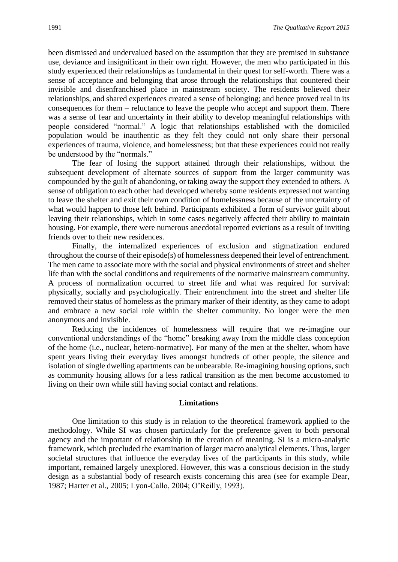been dismissed and undervalued based on the assumption that they are premised in substance use, deviance and insignificant in their own right. However, the men who participated in this study experienced their relationships as fundamental in their quest for self-worth. There was a sense of acceptance and belonging that arose through the relationships that countered their invisible and disenfranchised place in mainstream society. The residents believed their relationships, and shared experiences created a sense of belonging; and hence proved real in its consequences for them – reluctance to leave the people who accept and support them. There was a sense of fear and uncertainty in their ability to develop meaningful relationships with people considered "normal." A logic that relationships established with the domiciled population would be inauthentic as they felt they could not only share their personal experiences of trauma, violence, and homelessness; but that these experiences could not really be understood by the "normals."

The fear of losing the support attained through their relationships, without the subsequent development of alternate sources of support from the larger community was compounded by the guilt of abandoning, or taking away the support they extended to others. A sense of obligation to each other had developed whereby some residents expressed not wanting to leave the shelter and exit their own condition of homelessness because of the uncertainty of what would happen to those left behind. Participants exhibited a form of survivor guilt about leaving their relationships, which in some cases negatively affected their ability to maintain housing. For example, there were numerous anecdotal reported evictions as a result of inviting friends over to their new residences.

Finally, the internalized experiences of exclusion and stigmatization endured throughout the course of their episode(s) of homelessness deepened their level of entrenchment. The men came to associate more with the social and physical environments of street and shelter life than with the social conditions and requirements of the normative mainstream community. A process of normalization occurred to street life and what was required for survival: physically, socially and psychologically. Their entrenchment into the street and shelter life removed their status of homeless as the primary marker of their identity, as they came to adopt and embrace a new social role within the shelter community. No longer were the men anonymous and invisible.

Reducing the incidences of homelessness will require that we re-imagine our conventional understandings of the "home" breaking away from the middle class conception of the home (i.e., nuclear, hetero-normative). For many of the men at the shelter, whom have spent years living their everyday lives amongst hundreds of other people, the silence and isolation of single dwelling apartments can be unbearable. Re-imagining housing options, such as community housing allows for a less radical transition as the men become accustomed to living on their own while still having social contact and relations.

#### **Limitations**

One limitation to this study is in relation to the theoretical framework applied to the methodology. While SI was chosen particularly for the preference given to both personal agency and the important of relationship in the creation of meaning. SI is a micro-analytic framework, which precluded the examination of larger macro analytical elements. Thus, larger societal structures that influence the everyday lives of the participants in this study, while important, remained largely unexplored. However, this was a conscious decision in the study design as a substantial body of research exists concerning this area (see for example Dear, 1987; Harter et al., 2005; Lyon-Callo, 2004; O'Reilly, 1993).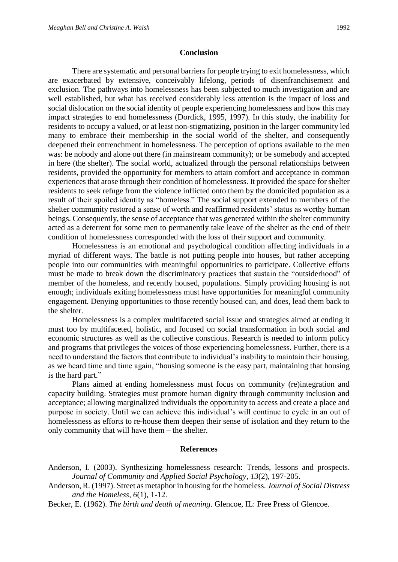#### **Conclusion**

There are systematic and personal barriers for people trying to exit homelessness, which are exacerbated by extensive, conceivably lifelong, periods of disenfranchisement and exclusion. The pathways into homelessness has been subjected to much investigation and are well established, but what has received considerably less attention is the impact of loss and social dislocation on the social identity of people experiencing homelessness and how this may impact strategies to end homelessness (Dordick, 1995, 1997). In this study, the inability for residents to occupy a valued, or at least non-stigmatizing, position in the larger community led many to embrace their membership in the social world of the shelter, and consequently deepened their entrenchment in homelessness. The perception of options available to the men was: be nobody and alone out there (in mainstream community); or be somebody and accepted in here (the shelter). The social world, actualized through the personal relationships between residents, provided the opportunity for members to attain comfort and acceptance in common experiences that arose through their condition of homelessness. It provided the space for shelter residents to seek refuge from the violence inflicted onto them by the domiciled population as a result of their spoiled identity as "homeless." The social support extended to members of the shelter community restored a sense of worth and reaffirmed residents' status as worthy human beings. Consequently, the sense of acceptance that was generated within the shelter community acted as a deterrent for some men to permanently take leave of the shelter as the end of their condition of homelessness corresponded with the loss of their support and community.

Homelessness is an emotional and psychological condition affecting individuals in a myriad of different ways. The battle is not putting people into houses, but rather accepting people into our communities with meaningful opportunities to participate. Collective efforts must be made to break down the discriminatory practices that sustain the "outsiderhood" of member of the homeless, and recently housed, populations. Simply providing housing is not enough; individuals exiting homelessness must have opportunities for meaningful community engagement. Denying opportunities to those recently housed can, and does, lead them back to the shelter.

Homelessness is a complex multifaceted social issue and strategies aimed at ending it must too by multifaceted, holistic, and focused on social transformation in both social and economic structures as well as the collective conscious. Research is needed to inform policy and programs that privileges the voices of those experiencing homelessness. Further, there is a need to understand the factors that contribute to individual's inability to maintain their housing, as we heard time and time again, "housing someone is the easy part, maintaining that housing is the hard part."

Plans aimed at ending homelessness must focus on community (re)integration and capacity building. Strategies must promote human dignity through community inclusion and acceptance; allowing marginalized individuals the opportunity to access and create a place and purpose in society. Until we can achieve this individual's will continue to cycle in an out of homelessness as efforts to re-house them deepen their sense of isolation and they return to the only community that will have them – the shelter.

### **References**

- Anderson, I. (2003). Synthesizing homelessness research: Trends, lessons and prospects. *Journal of Community and Applied Social Psychology, 13*(2), 197-205.
- Anderson, R. (1997). Street as metaphor in housing for the homeless. *Journal of Social Distress and the Homeless, 6*(1), 1-12.
- Becker, E. (1962). *The birth and death of meaning*. Glencoe, IL: Free Press of Glencoe.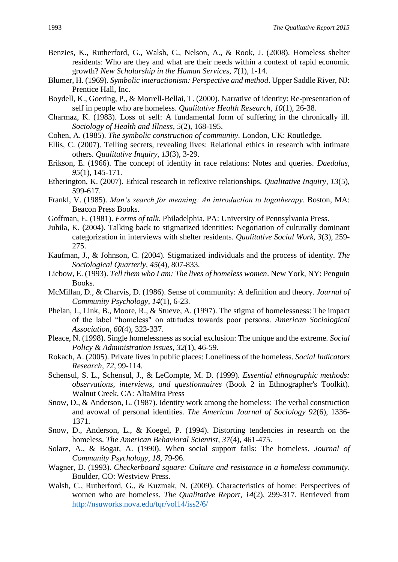- Benzies, K., Rutherford, G., Walsh, C., Nelson, A., & Rook, J. (2008). Homeless shelter residents: Who are they and what are their needs within a context of rapid economic growth? *New Scholarship in the Human Services, 7*(1), 1-14.
- Blumer, H. (1969). *Symbolic interactionism: Perspective and method*. Upper Saddle River, NJ: Prentice Hall, Inc.
- Boydell, K., Goering, P., & Morrell-Bellai, T. (2000). Narrative of identity: Re-presentation of self in people who are homeless. *Qualitative Health Research, 10*(1), 26-38.
- Charmaz, K. (1983). Loss of self: A fundamental form of suffering in the chronically ill. *Sociology of Health and Illness, 5*(2), 168-195.
- Cohen, A. (1985). *The symbolic construction of community.* London, UK: Routledge.
- Ellis, C. (2007). Telling secrets, revealing lives: Relational ethics in research with intimate others. *Qualitative Inquiry, 13*(3), 3-29.
- Erikson, E. (1966). The concept of identity in race relations: Notes and queries. *Daedalus, 95*(1), 145-171.
- Etherington, K. (2007). Ethical research in reflexive relationships. *Qualitative Inquiry, 13*(5), 599-617.
- Frankl, V. (1985). *Man's search for meaning: An introduction to logotherapy*. Boston, MA: Beacon Press Books.
- Goffman, E. (1981). *Forms of talk.* Philadelphia, PA: University of Pennsylvania Press.
- Juhila, K. (2004). Talking back to stigmatized identities: Negotiation of culturally dominant categorization in interviews with shelter residents. *Qualitative Social Work, 3*(3), 259- 275.
- Kaufman, J., & Johnson, C. (2004). Stigmatized individuals and the process of identity. *The Sociological Quarterly, 45*(4), 807-833.
- Liebow, E. (1993). *Tell them who I am: The lives of homeless women*. New York, NY: Penguin Books.
- McMillan, D., & Charvis, D. (1986). Sense of community: A definition and theory. *Journal of Community Psychology, 14*(1), 6-23.
- Phelan, J., Link, B., Moore, R., & Stueve, A. (1997). The stigma of homelessness: The impact of the label "homeless" on attitudes towards poor persons. *American Sociological Association, 60*(4), 323-337.
- Pleace, N. (1998). Single homelessness as social exclusion: The unique and the extreme. *Social Policy & Administration Issues, 32*(1), 46-59.
- Rokach, A. (2005). Private lives in public places: Loneliness of the homeless. *Social Indicators Research, 72*, 99-114.
- Schensul, S. L., Schensul, J., & LeCompte, M. D. (1999). *Essential ethnographic methods: observations, interviews, and questionnaires* (Book 2 in Ethnographer's Toolkit). Walnut Creek, CA: AltaMira Press
- Snow, D., & Anderson, L. (1987). Identity work among the homeless: The verbal construction and avowal of personal identities. *The American Journal of Sociology 92*(6), 1336- 1371.
- Snow, D., Anderson, L., & Koegel, P. (1994). Distorting tendencies in research on the homeless. *The American Behavioral Scientist, 37*(4), 461-475.
- Solarz, A., & Bogat, A. (1990). When social support fails: The homeless. *Journal of Community Psychology, 18*, 79-96.
- Wagner, D. (1993). *Checkerboard square: Culture and resistance in a homeless community.* Boulder, CO: Westview Press.
- Walsh, C., Rutherford, G., & Kuzmak, N. (2009). Characteristics of home: Perspectives of women who are homeless. *The Qualitative Report, 14*(2), 299-317. Retrieved from <http://nsuworks.nova.edu/tqr/vol14/iss2/6/>